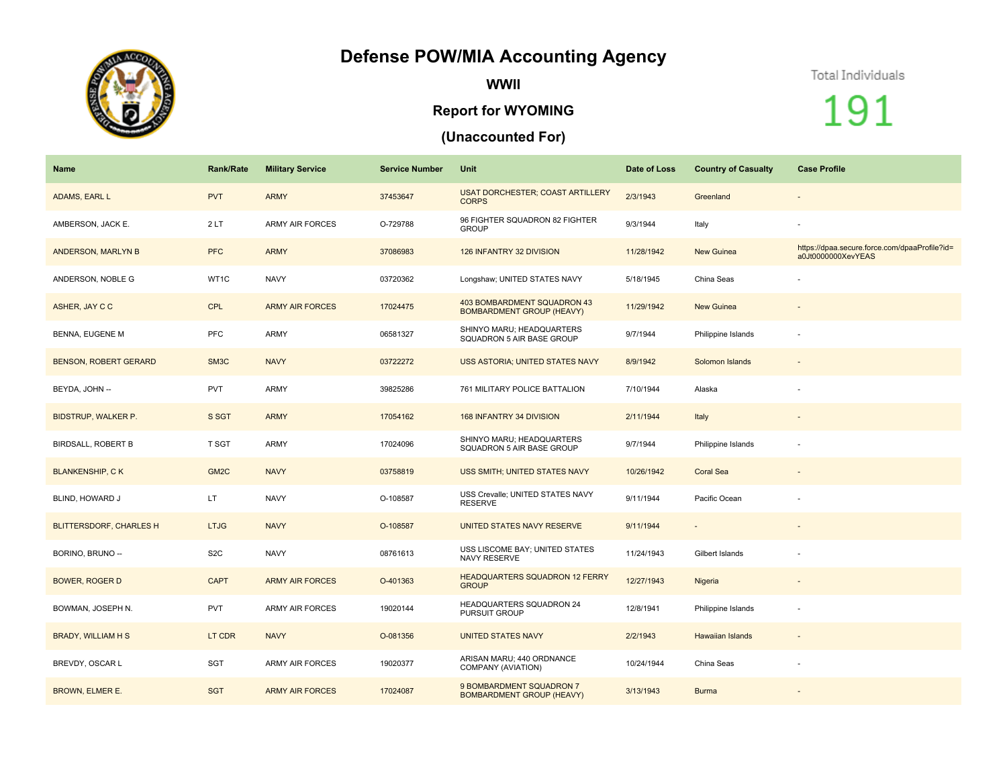## **Defense POW/MIA Accounting Agency**



**WWII**

## **Report for WYOMING**

## **(Unaccounted For)**

## Total Individuals

191

| <b>Name</b>                    | <b>Rank/Rate</b>  | <b>Military Service</b> | <b>Service Number</b> | Unit                                                            | Date of Loss | <b>Country of Casualty</b> | <b>Case Profile</b>                                                 |
|--------------------------------|-------------------|-------------------------|-----------------------|-----------------------------------------------------------------|--------------|----------------------------|---------------------------------------------------------------------|
| ADAMS, EARL L                  | <b>PVT</b>        | <b>ARMY</b>             | 37453647              | <b>USAT DORCHESTER; COAST ARTILLERY</b><br><b>CORPS</b>         | 2/3/1943     | Greenland                  | $\overline{\phantom{a}}$                                            |
| AMBERSON, JACK E.              | 2LT               | <b>ARMY AIR FORCES</b>  | O-729788              | 96 FIGHTER SQUADRON 82 FIGHTER<br><b>GROUP</b>                  | 9/3/1944     | Italy                      |                                                                     |
| ANDERSON, MARLYN B             | <b>PFC</b>        | <b>ARMY</b>             | 37086983              | 126 INFANTRY 32 DIVISION                                        | 11/28/1942   | New Guinea                 | https://dpaa.secure.force.com/dpaaProfile?id=<br>a0Jt0000000XevYEAS |
| ANDERSON, NOBLE G              | WT1C              | <b>NAVY</b>             | 03720362              | Longshaw; UNITED STATES NAVY                                    | 5/18/1945    | China Seas                 |                                                                     |
| ASHER, JAY C C                 | <b>CPL</b>        | <b>ARMY AIR FORCES</b>  | 17024475              | 403 BOMBARDMENT SQUADRON 43<br><b>BOMBARDMENT GROUP (HEAVY)</b> | 11/29/1942   | <b>New Guinea</b>          |                                                                     |
| <b>BENNA, EUGENE M</b>         | PFC               | ARMY                    | 06581327              | SHINYO MARU; HEADQUARTERS<br>SQUADRON 5 AIR BASE GROUP          | 9/7/1944     | Philippine Islands         |                                                                     |
| <b>BENSON, ROBERT GERARD</b>   | SM <sub>3</sub> C | <b>NAVY</b>             | 03722272              | USS ASTORIA; UNITED STATES NAVY                                 | 8/9/1942     | Solomon Islands            |                                                                     |
| BEYDA, JOHN --                 | <b>PVT</b>        | ARMY                    | 39825286              | 761 MILITARY POLICE BATTALION                                   | 7/10/1944    | Alaska                     |                                                                     |
| <b>BIDSTRUP, WALKER P.</b>     | S SGT             | <b>ARMY</b>             | 17054162              | 168 INFANTRY 34 DIVISION                                        | 2/11/1944    | Italy                      | $\overline{\phantom{a}}$                                            |
| <b>BIRDSALL, ROBERT B</b>      | T SGT             | ARMY                    | 17024096              | SHINYO MARU; HEADQUARTERS<br>SQUADRON 5 AIR BASE GROUP          | 9/7/1944     | Philippine Islands         |                                                                     |
| <b>BLANKENSHIP, CK</b>         | GM <sub>2C</sub>  | <b>NAVY</b>             | 03758819              | USS SMITH; UNITED STATES NAVY                                   | 10/26/1942   | Coral Sea                  |                                                                     |
| BLIND, HOWARD J                | LT.               | <b>NAVY</b>             | O-108587              | USS Crevalle; UNITED STATES NAVY<br><b>RESERVE</b>              | 9/11/1944    | Pacific Ocean              |                                                                     |
| <b>BLITTERSDORF, CHARLES H</b> | <b>LTJG</b>       | <b>NAVY</b>             | O-108587              | UNITED STATES NAVY RESERVE                                      | 9/11/1944    | $\sim$                     | $\sim$                                                              |
| BORINO, BRUNO --               | S <sub>2</sub> C  | <b>NAVY</b>             | 08761613              | USS LISCOME BAY; UNITED STATES<br>NAVY RESERVE                  | 11/24/1943   | Gilbert Islands            |                                                                     |
| <b>BOWER, ROGER D</b>          | <b>CAPT</b>       | <b>ARMY AIR FORCES</b>  | O-401363              | <b>HEADQUARTERS SQUADRON 12 FERRY</b><br><b>GROUP</b>           | 12/27/1943   | Nigeria                    |                                                                     |
| BOWMAN, JOSEPH N.              | <b>PVT</b>        | <b>ARMY AIR FORCES</b>  | 19020144              | <b>HEADQUARTERS SQUADRON 24</b><br>PURSUIT GROUP                | 12/8/1941    | Philippine Islands         |                                                                     |
| <b>BRADY, WILLIAM H S</b>      | LT CDR            | <b>NAVY</b>             | O-081356              | <b>UNITED STATES NAVY</b>                                       | 2/2/1943     | <b>Hawaiian Islands</b>    | $\sim$                                                              |
| BREVDY, OSCAR L                | SGT               | <b>ARMY AIR FORCES</b>  | 19020377              | ARISAN MARU; 440 ORDNANCE<br>COMPANY (AVIATION)                 | 10/24/1944   | China Seas                 |                                                                     |
| <b>BROWN, ELMER E.</b>         | <b>SGT</b>        | <b>ARMY AIR FORCES</b>  | 17024087              | 9 BOMBARDMENT SQUADRON 7<br><b>BOMBARDMENT GROUP (HEAVY)</b>    | 3/13/1943    | <b>Burma</b>               |                                                                     |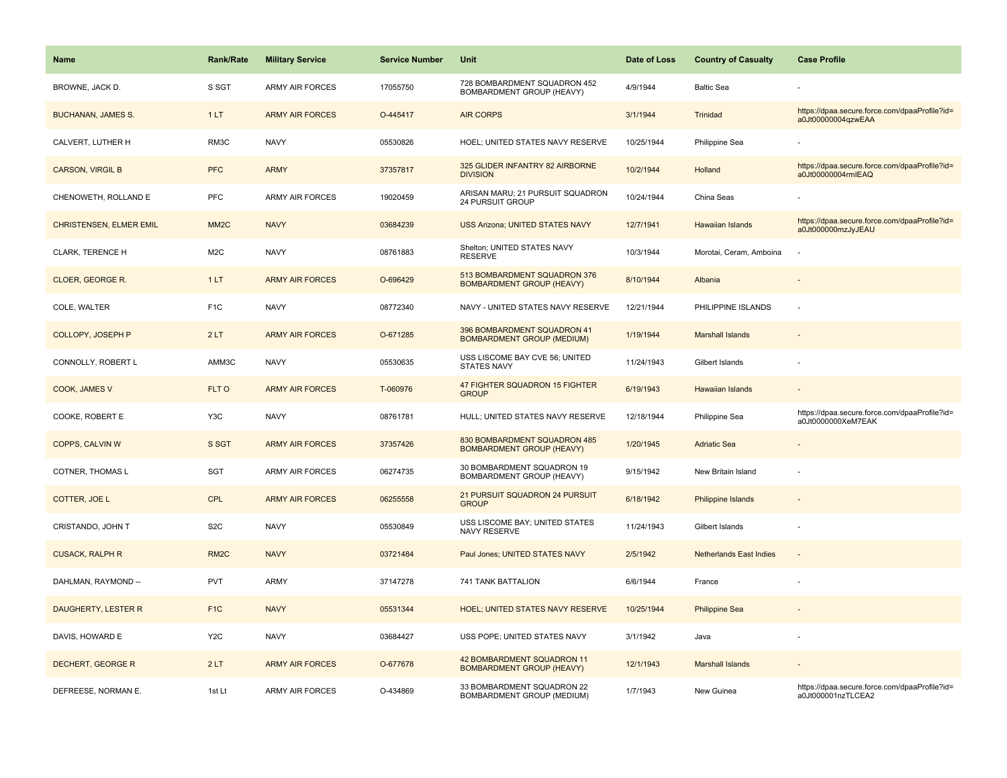| Name                           | <b>Rank/Rate</b>  | <b>Military Service</b> | <b>Service Number</b> | Unit                                                             | Date of Loss | <b>Country of Casualty</b>     | <b>Case Profile</b>                                                 |
|--------------------------------|-------------------|-------------------------|-----------------------|------------------------------------------------------------------|--------------|--------------------------------|---------------------------------------------------------------------|
| BROWNE, JACK D.                | S SGT             | <b>ARMY AIR FORCES</b>  | 17055750              | 728 BOMBARDMENT SQUADRON 452<br>BOMBARDMENT GROUP (HEAVY)        | 4/9/1944     | <b>Baltic Sea</b>              |                                                                     |
| <b>BUCHANAN, JAMES S.</b>      | 1LT               | <b>ARMY AIR FORCES</b>  | O-445417              | <b>AIR CORPS</b>                                                 | 3/1/1944     | Trinidad                       | https://dpaa.secure.force.com/dpaaProfile?id=<br>a0Jt00000004qzwEAA |
| CALVERT, LUTHER H              | RM3C              | <b>NAVY</b>             | 05530826              | HOEL; UNITED STATES NAVY RESERVE                                 | 10/25/1944   | Philippine Sea                 |                                                                     |
| <b>CARSON, VIRGIL B</b>        | <b>PFC</b>        | <b>ARMY</b>             | 37357817              | 325 GLIDER INFANTRY 82 AIRBORNE<br><b>DIVISION</b>               | 10/2/1944    | Holland                        | https://dpaa.secure.force.com/dpaaProfile?id=<br>a0Jt00000004rmIEAQ |
| CHENOWETH, ROLLAND E           | <b>PFC</b>        | <b>ARMY AIR FORCES</b>  | 19020459              | ARISAN MARU; 21 PURSUIT SQUADRON<br>24 PURSUIT GROUP             | 10/24/1944   | China Seas                     |                                                                     |
| <b>CHRISTENSEN, ELMER EMIL</b> | MM <sub>2</sub> C | <b>NAVY</b>             | 03684239              | <b>USS Arizona; UNITED STATES NAVY</b>                           | 12/7/1941    | Hawaiian Islands               | https://dpaa.secure.force.com/dpaaProfile?id=<br>a0Jt000000mzJyJEAU |
| CLARK, TERENCE H               | M <sub>2</sub> C  | <b>NAVY</b>             | 08761883              | Shelton; UNITED STATES NAVY<br><b>RESERVE</b>                    | 10/3/1944    | Morotai, Ceram, Amboina        |                                                                     |
| CLOER, GEORGE R.               | 1LT               | <b>ARMY AIR FORCES</b>  | O-696429              | 513 BOMBARDMENT SQUADRON 376<br><b>BOMBARDMENT GROUP (HEAVY)</b> | 8/10/1944    | Albania                        |                                                                     |
| COLE, WALTER                   | F <sub>1</sub> C  | <b>NAVY</b>             | 08772340              | NAVY - UNITED STATES NAVY RESERVE                                | 12/21/1944   | PHILIPPINE ISLANDS             | $\sim$                                                              |
| <b>COLLOPY, JOSEPH P</b>       | 2LT               | <b>ARMY AIR FORCES</b>  | O-671285              | 396 BOMBARDMENT SQUADRON 41<br><b>BOMBARDMENT GROUP (MEDIUM)</b> | 1/19/1944    | <b>Marshall Islands</b>        |                                                                     |
| CONNOLLY, ROBERT L             | AMM3C             | <b>NAVY</b>             | 05530635              | USS LISCOME BAY CVE 56; UNITED<br>STATES NAVY                    | 11/24/1943   | Gilbert Islands                |                                                                     |
| COOK, JAMES V                  | FLT O             | <b>ARMY AIR FORCES</b>  | T-060976              | 47 FIGHTER SQUADRON 15 FIGHTER<br><b>GROUP</b>                   | 6/19/1943    | <b>Hawaiian Islands</b>        |                                                                     |
| COOKE, ROBERT E                | Y3C               | <b>NAVY</b>             | 08761781              | HULL; UNITED STATES NAVY RESERVE                                 | 12/18/1944   | Philippine Sea                 | https://dpaa.secure.force.com/dpaaProfile?id=<br>a0Jt0000000XeM7EAK |
| COPPS, CALVIN W                | S SGT             | <b>ARMY AIR FORCES</b>  | 37357426              | 830 BOMBARDMENT SQUADRON 485<br><b>BOMBARDMENT GROUP (HEAVY)</b> | 1/20/1945    | <b>Adriatic Sea</b>            |                                                                     |
| COTNER, THOMAS L               | <b>SGT</b>        | <b>ARMY AIR FORCES</b>  | 06274735              | 30 BOMBARDMENT SQUADRON 19<br>BOMBARDMENT GROUP (HEAVY)          | 9/15/1942    | New Britain Island             |                                                                     |
| COTTER, JOE L                  | <b>CPL</b>        | <b>ARMY AIR FORCES</b>  | 06255558              | 21 PURSUIT SQUADRON 24 PURSUIT<br><b>GROUP</b>                   | 6/18/1942    | <b>Philippine Islands</b>      |                                                                     |
| CRISTANDO, JOHN T              | S <sub>2</sub> C  | <b>NAVY</b>             | 05530849              | USS LISCOME BAY; UNITED STATES<br>NAVY RESERVE                   | 11/24/1943   | Gilbert Islands                |                                                                     |
| <b>CUSACK, RALPH R</b>         | RM <sub>2</sub> C | <b>NAVY</b>             | 03721484              | Paul Jones; UNITED STATES NAVY                                   | 2/5/1942     | <b>Netherlands East Indies</b> |                                                                     |
| DAHLMAN, RAYMOND --            | <b>PVT</b>        | <b>ARMY</b>             | 37147278              | 741 TANK BATTALION                                               | 6/6/1944     | France                         |                                                                     |
| DAUGHERTY, LESTER R            | F <sub>1</sub> C  | <b>NAVY</b>             | 05531344              | <b>HOEL; UNITED STATES NAVY RESERVE</b>                          | 10/25/1944   | <b>Philippine Sea</b>          |                                                                     |
| DAVIS, HOWARD E                | Y <sub>2</sub> C  | <b>NAVY</b>             | 03684427              | USS POPE; UNITED STATES NAVY                                     | 3/1/1942     | Java                           |                                                                     |
| DECHERT, GEORGE R              | 2LT               | <b>ARMY AIR FORCES</b>  | O-677678              | 42 BOMBARDMENT SQUADRON 11<br><b>BOMBARDMENT GROUP (HEAVY)</b>   | 12/1/1943    | <b>Marshall Islands</b>        |                                                                     |
| DEFREESE, NORMAN E.            | 1st Lt            | <b>ARMY AIR FORCES</b>  | O-434869              | 33 BOMBARDMENT SQUADRON 22<br>BOMBARDMENT GROUP (MEDIUM)         | 1/7/1943     | New Guinea                     | https://dpaa.secure.force.com/dpaaProfile?id=<br>a0Jt000001nzTLCEA2 |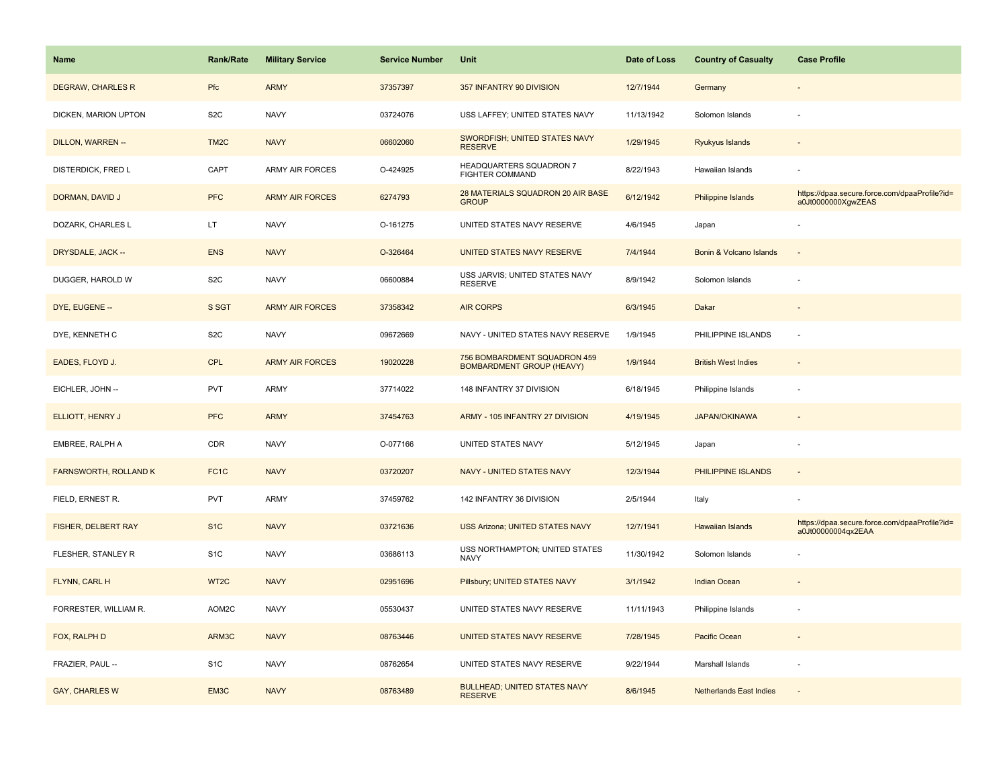| Name                         | <b>Rank/Rate</b>  | <b>Military Service</b> | <b>Service Number</b> | Unit                                                             | Date of Loss | <b>Country of Casualty</b>     | <b>Case Profile</b>                                                 |
|------------------------------|-------------------|-------------------------|-----------------------|------------------------------------------------------------------|--------------|--------------------------------|---------------------------------------------------------------------|
| <b>DEGRAW, CHARLES R</b>     | Pfc               | <b>ARMY</b>             | 37357397              | 357 INFANTRY 90 DIVISION                                         | 12/7/1944    | Germany                        |                                                                     |
| DICKEN, MARION UPTON         | S <sub>2</sub> C  | <b>NAVY</b>             | 03724076              | USS LAFFEY; UNITED STATES NAVY                                   | 11/13/1942   | Solomon Islands                |                                                                     |
| DILLON, WARREN --            | TM <sub>2</sub> C | <b>NAVY</b>             | 06602060              | SWORDFISH; UNITED STATES NAVY<br><b>RESERVE</b>                  | 1/29/1945    | Ryukyus Islands                |                                                                     |
| DISTERDICK, FRED L           | CAPT              | ARMY AIR FORCES         | O-424925              | HEADQUARTERS SQUADRON 7<br><b>FIGHTER COMMAND</b>                | 8/22/1943    | Hawaiian Islands               |                                                                     |
| DORMAN, DAVID J              | <b>PFC</b>        | <b>ARMY AIR FORCES</b>  | 6274793               | 28 MATERIALS SQUADRON 20 AIR BASE<br><b>GROUP</b>                | 6/12/1942    | <b>Philippine Islands</b>      | https://dpaa.secure.force.com/dpaaProfile?id=<br>a0Jt0000000XgwZEAS |
| DOZARK, CHARLES L            | LT.               | <b>NAVY</b>             | O-161275              | UNITED STATES NAVY RESERVE                                       | 4/6/1945     | Japan                          |                                                                     |
| DRYSDALE, JACK --            | <b>ENS</b>        | <b>NAVY</b>             | O-326464              | UNITED STATES NAVY RESERVE                                       | 7/4/1944     | Bonin & Volcano Islands        | $\overline{\phantom{a}}$                                            |
| DUGGER, HAROLD W             | S <sub>2</sub> C  | <b>NAVY</b>             | 06600884              | USS JARVIS; UNITED STATES NAVY<br><b>RESERVE</b>                 | 8/9/1942     | Solomon Islands                |                                                                     |
| DYE, EUGENE --               | S SGT             | <b>ARMY AIR FORCES</b>  | 37358342              | <b>AIR CORPS</b>                                                 | 6/3/1945     | Dakar                          |                                                                     |
| DYE, KENNETH C               | S <sub>2</sub> C  | <b>NAVY</b>             | 09672669              | NAVY - UNITED STATES NAVY RESERVE                                | 1/9/1945     | PHILIPPINE ISLANDS             | ÷.                                                                  |
| EADES, FLOYD J.              | <b>CPL</b>        | <b>ARMY AIR FORCES</b>  | 19020228              | 756 BOMBARDMENT SQUADRON 459<br><b>BOMBARDMENT GROUP (HEAVY)</b> | 1/9/1944     | <b>British West Indies</b>     |                                                                     |
| EICHLER, JOHN --             | <b>PVT</b>        | <b>ARMY</b>             | 37714022              | 148 INFANTRY 37 DIVISION                                         | 6/18/1945    | Philippine Islands             |                                                                     |
| ELLIOTT, HENRY J             | <b>PFC</b>        | <b>ARMY</b>             | 37454763              | ARMY - 105 INFANTRY 27 DIVISION                                  | 4/19/1945    | <b>JAPAN/OKINAWA</b>           |                                                                     |
| EMBREE, RALPH A              | CDR               | <b>NAVY</b>             | O-077166              | UNITED STATES NAVY                                               | 5/12/1945    | Japan                          | $\overline{\phantom{a}}$                                            |
| <b>FARNSWORTH, ROLLAND K</b> | FC <sub>1</sub> C | <b>NAVY</b>             | 03720207              | NAVY - UNITED STATES NAVY                                        | 12/3/1944    | PHILIPPINE ISLANDS             | $\sim$                                                              |
| FIELD, ERNEST R.             | <b>PVT</b>        | <b>ARMY</b>             | 37459762              | 142 INFANTRY 36 DIVISION                                         | 2/5/1944     | Italy                          |                                                                     |
| FISHER, DELBERT RAY          | S <sub>1C</sub>   | <b>NAVY</b>             | 03721636              | <b>USS Arizona; UNITED STATES NAVY</b>                           | 12/7/1941    | Hawaiian Islands               | https://dpaa.secure.force.com/dpaaProfile?id=<br>a0Jt00000004qx2EAA |
| FLESHER, STANLEY R           | S <sub>1</sub> C  | <b>NAVY</b>             | 03686113              | USS NORTHAMPTON; UNITED STATES<br><b>NAVY</b>                    | 11/30/1942   | Solomon Islands                |                                                                     |
| FLYNN, CARL H                | WT <sub>2</sub> C | <b>NAVY</b>             | 02951696              | Pillsbury; UNITED STATES NAVY                                    | 3/1/1942     | Indian Ocean                   |                                                                     |
| FORRESTER, WILLIAM R.        | AOM2C             | <b>NAVY</b>             | 05530437              | UNITED STATES NAVY RESERVE                                       | 11/11/1943   | Philippine Islands             |                                                                     |
| FOX, RALPH D                 | ARM3C             | <b>NAVY</b>             | 08763446              | UNITED STATES NAVY RESERVE                                       | 7/28/1945    | Pacific Ocean                  |                                                                     |
| FRAZIER, PAUL --             | S <sub>1</sub> C  | <b>NAVY</b>             | 08762654              | UNITED STATES NAVY RESERVE                                       | 9/22/1944    | Marshall Islands               |                                                                     |
| <b>GAY, CHARLES W</b>        | EM3C              | <b>NAVY</b>             | 08763489              | <b>BULLHEAD; UNITED STATES NAVY</b><br><b>RESERVE</b>            | 8/6/1945     | <b>Netherlands East Indies</b> |                                                                     |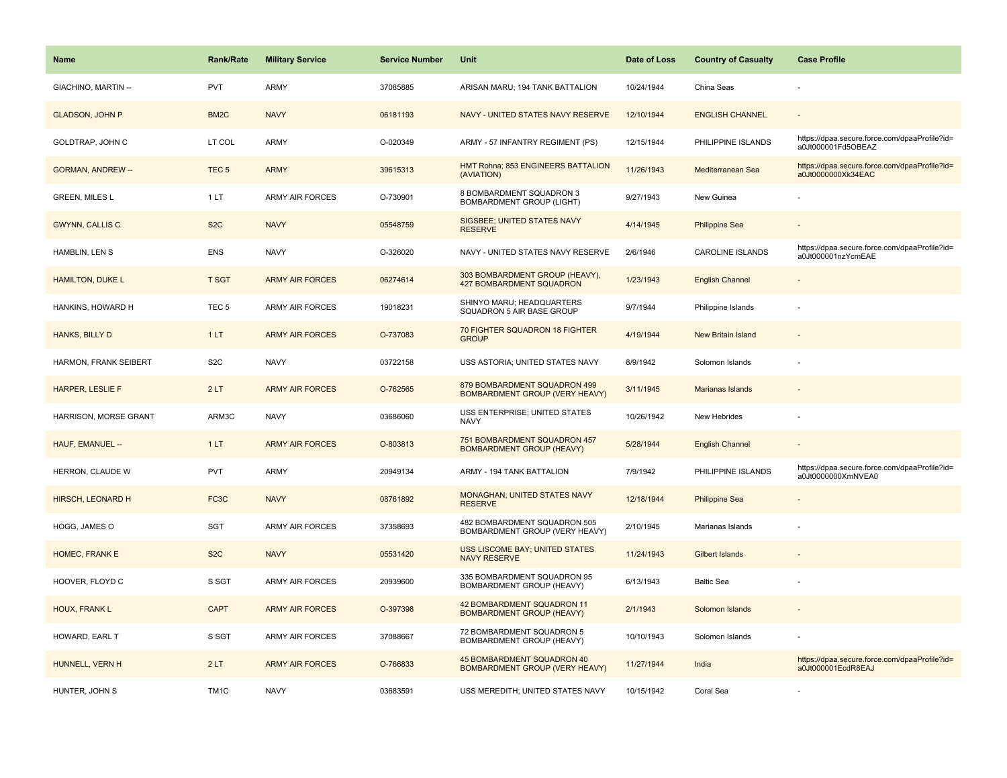| Name                     | <b>Rank/Rate</b>  | <b>Military Service</b> | <b>Service Number</b> | Unit                                                                  | Date of Loss | <b>Country of Casualty</b> | <b>Case Profile</b>                                                 |
|--------------------------|-------------------|-------------------------|-----------------------|-----------------------------------------------------------------------|--------------|----------------------------|---------------------------------------------------------------------|
| GIACHINO, MARTIN --      | <b>PVT</b>        | ARMY                    | 37085885              | ARISAN MARU; 194 TANK BATTALION                                       | 10/24/1944   | China Seas                 |                                                                     |
| <b>GLADSON, JOHN P</b>   | BM <sub>2</sub> C | <b>NAVY</b>             | 06181193              | NAVY - UNITED STATES NAVY RESERVE                                     | 12/10/1944   | <b>ENGLISH CHANNEL</b>     |                                                                     |
| GOLDTRAP, JOHN C         | LT COL            | <b>ARMY</b>             | O-020349              | ARMY - 57 INFANTRY REGIMENT (PS)                                      | 12/15/1944   | PHILIPPINE ISLANDS         | https://dpaa.secure.force.com/dpaaProfile?id=<br>a0Jt000001Fd5OBEAZ |
| <b>GORMAN, ANDREW --</b> | TEC <sub>5</sub>  | <b>ARMY</b>             | 39615313              | HMT Rohna; 853 ENGINEERS BATTALION<br>(AVIATION)                      | 11/26/1943   | Mediterranean Sea          | https://dpaa.secure.force.com/dpaaProfile?id=<br>a0Jt0000000Xk34EAC |
| <b>GREEN, MILES L</b>    | 1LT               | <b>ARMY AIR FORCES</b>  | O-730901              | 8 BOMBARDMENT SQUADRON 3<br><b>BOMBARDMENT GROUP (LIGHT)</b>          | 9/27/1943    | New Guinea                 |                                                                     |
| <b>GWYNN, CALLIS C</b>   | S <sub>2</sub> C  | <b>NAVY</b>             | 05548759              | SIGSBEE; UNITED STATES NAVY<br><b>RESERVE</b>                         | 4/14/1945    | <b>Philippine Sea</b>      |                                                                     |
| HAMBLIN, LEN S           | <b>ENS</b>        | <b>NAVY</b>             | O-326020              | NAVY - UNITED STATES NAVY RESERVE                                     | 2/6/1946     | <b>CAROLINE ISLANDS</b>    | https://dpaa.secure.force.com/dpaaProfile?id=<br>a0Jt000001nzYcmEAE |
| <b>HAMILTON, DUKE L</b>  | <b>T SGT</b>      | <b>ARMY AIR FORCES</b>  | 06274614              | 303 BOMBARDMENT GROUP (HEAVY),<br>427 BOMBARDMENT SQUADRON            | 1/23/1943    | <b>English Channel</b>     |                                                                     |
| HANKINS, HOWARD H        | TEC <sub>5</sub>  | ARMY AIR FORCES         | 19018231              | SHINYO MARU; HEADQUARTERS<br>SQUADRON 5 AIR BASE GROUP                | 9/7/1944     | Philippine Islands         |                                                                     |
| HANKS, BILLY D           | 1LT               | <b>ARMY AIR FORCES</b>  | O-737083              | 70 FIGHTER SQUADRON 18 FIGHTER<br><b>GROUP</b>                        | 4/19/1944    | <b>New Britain Island</b>  |                                                                     |
| HARMON, FRANK SEIBERT    | S <sub>2</sub> C  | <b>NAVY</b>             | 03722158              | USS ASTORIA; UNITED STATES NAVY                                       | 8/9/1942     | Solomon Islands            |                                                                     |
| HARPER, LESLIE F         | 2LT               | <b>ARMY AIR FORCES</b>  | O-762565              | 879 BOMBARDMENT SQUADRON 499<br><b>BOMBARDMENT GROUP (VERY HEAVY)</b> | 3/11/1945    | <b>Marianas Islands</b>    |                                                                     |
| HARRISON, MORSE GRANT    | ARM3C             | <b>NAVY</b>             | 03686060              | USS ENTERPRISE; UNITED STATES<br><b>NAVY</b>                          | 10/26/1942   | New Hebrides               |                                                                     |
| HAUF, EMANUEL --         | 1LT               | <b>ARMY AIR FORCES</b>  | O-803813              | 751 BOMBARDMENT SQUADRON 457<br><b>BOMBARDMENT GROUP (HEAVY)</b>      | 5/28/1944    | <b>English Channel</b>     |                                                                     |
| HERRON, CLAUDE W         | <b>PVT</b>        | ARMY                    | 20949134              | ARMY - 194 TANK BATTALION                                             | 7/9/1942     | PHILIPPINE ISLANDS         | https://dpaa.secure.force.com/dpaaProfile?id=<br>a0Jt0000000XmNVEA0 |
| <b>HIRSCH, LEONARD H</b> | FC <sub>3</sub> C | <b>NAVY</b>             | 08761892              | MONAGHAN; UNITED STATES NAVY<br><b>RESERVE</b>                        | 12/18/1944   | <b>Philippine Sea</b>      |                                                                     |
| HOGG, JAMES O            | <b>SGT</b>        | <b>ARMY AIR FORCES</b>  | 37358693              | 482 BOMBARDMENT SQUADRON 505<br>BOMBARDMENT GROUP (VERY HEAVY)        | 2/10/1945    | Marianas Islands           |                                                                     |
| HOMEC, FRANK E           | S <sub>2</sub> C  | <b>NAVY</b>             | 05531420              | <b>USS LISCOME BAY; UNITED STATES</b><br><b>NAVY RESERVE</b>          | 11/24/1943   | Gilbert Islands            |                                                                     |
| HOOVER, FLOYD C          | S SGT             | ARMY AIR FORCES         | 20939600              | 335 BOMBARDMENT SQUADRON 95<br>BOMBARDMENT GROUP (HEAVY)              | 6/13/1943    | <b>Baltic Sea</b>          |                                                                     |
| HOUX, FRANK L            | <b>CAPT</b>       | <b>ARMY AIR FORCES</b>  | O-397398              | 42 BOMBARDMENT SQUADRON 11<br><b>BOMBARDMENT GROUP (HEAVY)</b>        | 2/1/1943     | Solomon Islands            |                                                                     |
| HOWARD, EARL T           | S SGT             | <b>ARMY AIR FORCES</b>  | 37088667              | 72 BOMBARDMENT SQUADRON 5<br>BOMBARDMENT GROUP (HEAVY)                | 10/10/1943   | Solomon Islands            |                                                                     |
| HUNNELL, VERN H          | 2LT               | <b>ARMY AIR FORCES</b>  | O-766833              | 45 BOMBARDMENT SQUADRON 40<br><b>BOMBARDMENT GROUP (VERY HEAVY)</b>   | 11/27/1944   | India                      | https://dpaa.secure.force.com/dpaaProfile?id=<br>a0Jt000001EcdR8EAJ |
| HUNTER, JOHN S           | TM <sub>1</sub> C | <b>NAVY</b>             | 03683591              | USS MEREDITH; UNITED STATES NAVY                                      | 10/15/1942   | Coral Sea                  |                                                                     |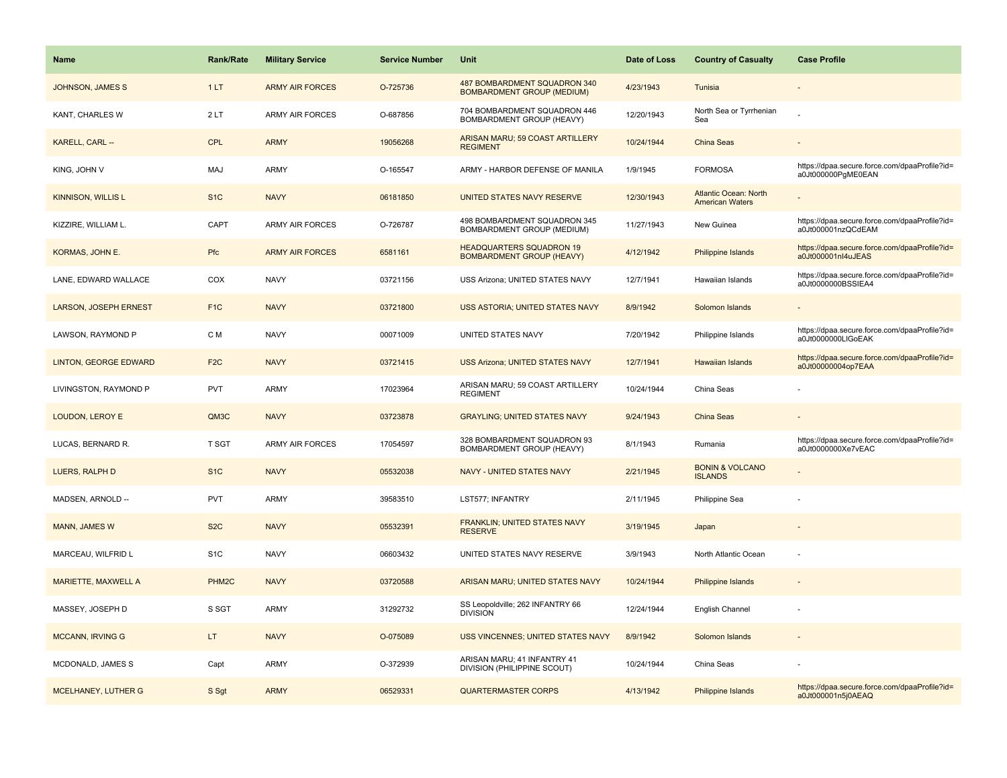| Name                         | <b>Rank/Rate</b>  | <b>Military Service</b> | <b>Service Number</b> | Unit                                                                | Date of Loss | <b>Country of Casualty</b>                             | <b>Case Profile</b>                                                 |
|------------------------------|-------------------|-------------------------|-----------------------|---------------------------------------------------------------------|--------------|--------------------------------------------------------|---------------------------------------------------------------------|
| <b>JOHNSON, JAMES S</b>      | 1LT               | <b>ARMY AIR FORCES</b>  | O-725736              | 487 BOMBARDMENT SQUADRON 340<br><b>BOMBARDMENT GROUP (MEDIUM)</b>   | 4/23/1943    | Tunisia                                                |                                                                     |
| KANT, CHARLES W              | 2LT               | ARMY AIR FORCES         | O-687856              | 704 BOMBARDMENT SQUADRON 446<br>BOMBARDMENT GROUP (HEAVY)           | 12/20/1943   | North Sea or Tyrrhenian<br>Sea                         |                                                                     |
| KARELL, CARL --              | <b>CPL</b>        | <b>ARMY</b>             | 19056268              | ARISAN MARU; 59 COAST ARTILLERY<br><b>REGIMENT</b>                  | 10/24/1944   | <b>China Seas</b>                                      |                                                                     |
| KING, JOHN V                 | MAJ               | ARMY                    | O-165547              | ARMY - HARBOR DEFENSE OF MANILA                                     | 1/9/1945     | <b>FORMOSA</b>                                         | https://dpaa.secure.force.com/dpaaProfile?id=<br>a0Jt000000PgME0EAN |
| <b>KINNISON, WILLIS L</b>    | S <sub>1</sub> C  | <b>NAVY</b>             | 06181850              | UNITED STATES NAVY RESERVE                                          | 12/30/1943   | <b>Atlantic Ocean: North</b><br><b>American Waters</b> |                                                                     |
| KIZZIRE, WILLIAM L.          | CAPT              | <b>ARMY AIR FORCES</b>  | O-726787              | 498 BOMBARDMENT SQUADRON 345<br>BOMBARDMENT GROUP (MEDIUM)          | 11/27/1943   | New Guinea                                             | https://dpaa.secure.force.com/dpaaProfile?id=<br>a0Jt000001nzQCdEAM |
| KORMAS, JOHN E.              | Pfc               | <b>ARMY AIR FORCES</b>  | 6581161               | <b>HEADQUARTERS SQUADRON 19</b><br><b>BOMBARDMENT GROUP (HEAVY)</b> | 4/12/1942    | Philippine Islands                                     | https://dpaa.secure.force.com/dpaaProfile?id=<br>a0Jt000001nl4uJEAS |
| LANE, EDWARD WALLACE         | COX               | <b>NAVY</b>             | 03721156              | USS Arizona; UNITED STATES NAVY                                     | 12/7/1941    | Hawaiian Islands                                       | https://dpaa.secure.force.com/dpaaProfile?id=<br>a0Jt0000000BSSIEA4 |
| <b>LARSON, JOSEPH ERNEST</b> | F <sub>1</sub> C  | <b>NAVY</b>             | 03721800              | <b>USS ASTORIA; UNITED STATES NAVY</b>                              | 8/9/1942     | Solomon Islands                                        |                                                                     |
| LAWSON, RAYMOND P            | C M               | <b>NAVY</b>             | 00071009              | UNITED STATES NAVY                                                  | 7/20/1942    | Philippine Islands                                     | https://dpaa.secure.force.com/dpaaProfile?id=<br>a0Jt0000000LIGoEAK |
| <b>LINTON, GEORGE EDWARD</b> | F <sub>2</sub> C  | <b>NAVY</b>             | 03721415              | <b>USS Arizona; UNITED STATES NAVY</b>                              | 12/7/1941    | <b>Hawaiian Islands</b>                                | https://dpaa.secure.force.com/dpaaProfile?id=<br>a0Jt00000004op7EAA |
| LIVINGSTON, RAYMOND P        | <b>PVT</b>        | ARMY                    | 17023964              | ARISAN MARU; 59 COAST ARTILLERY<br><b>REGIMENT</b>                  | 10/24/1944   | China Seas                                             |                                                                     |
| LOUDON, LEROY E              | QM3C              | <b>NAVY</b>             | 03723878              | <b>GRAYLING; UNITED STATES NAVY</b>                                 | 9/24/1943    | China Seas                                             |                                                                     |
| LUCAS, BERNARD R.            | T SGT             | <b>ARMY AIR FORCES</b>  | 17054597              | 328 BOMBARDMENT SQUADRON 93<br>BOMBARDMENT GROUP (HEAVY)            | 8/1/1943     | Rumania                                                | https://dpaa.secure.force.com/dpaaProfile?id=<br>a0Jt0000000Xe7vEAC |
| LUERS, RALPH D               | S <sub>1</sub> C  | <b>NAVY</b>             | 05532038              | <b>NAVY - UNITED STATES NAVY</b>                                    | 2/21/1945    | <b>BONIN &amp; VOLCANO</b><br><b>ISLANDS</b>           |                                                                     |
| MADSEN, ARNOLD --            | <b>PVT</b>        | ARMY                    | 39583510              | LST577; INFANTRY                                                    | 2/11/1945    | Philippine Sea                                         |                                                                     |
| MANN, JAMES W                | S <sub>2</sub> C  | <b>NAVY</b>             | 05532391              | FRANKLIN; UNITED STATES NAVY<br><b>RESERVE</b>                      | 3/19/1945    | Japan                                                  |                                                                     |
| MARCEAU, WILFRID L           | S <sub>1</sub> C  | <b>NAVY</b>             | 06603432              | UNITED STATES NAVY RESERVE                                          | 3/9/1943     | North Atlantic Ocean                                   |                                                                     |
| <b>MARIETTE, MAXWELL A</b>   | PHM <sub>2C</sub> | <b>NAVY</b>             | 03720588              | ARISAN MARU; UNITED STATES NAVY                                     | 10/24/1944   | Philippine Islands                                     |                                                                     |
| MASSEY, JOSEPH D             | S SGT             | ARMY                    | 31292732              | SS Leopoldville; 262 INFANTRY 66<br><b>DIVISION</b>                 | 12/24/1944   | English Channel                                        |                                                                     |
| <b>MCCANN, IRVING G</b>      | LT.               | <b>NAVY</b>             | O-075089              | USS VINCENNES; UNITED STATES NAVY                                   | 8/9/1942     | Solomon Islands                                        |                                                                     |
| MCDONALD, JAMES S            | Capt              | ARMY                    | O-372939              | ARISAN MARU; 41 INFANTRY 41<br>DIVISION (PHILIPPINE SCOUT)          | 10/24/1944   | China Seas                                             |                                                                     |
| MCELHANEY, LUTHER G          | S Sgt             | <b>ARMY</b>             | 06529331              | <b>QUARTERMASTER CORPS</b>                                          | 4/13/1942    | Philippine Islands                                     | https://dpaa.secure.force.com/dpaaProfile?id=<br>a0Jt000001n5j0AEAQ |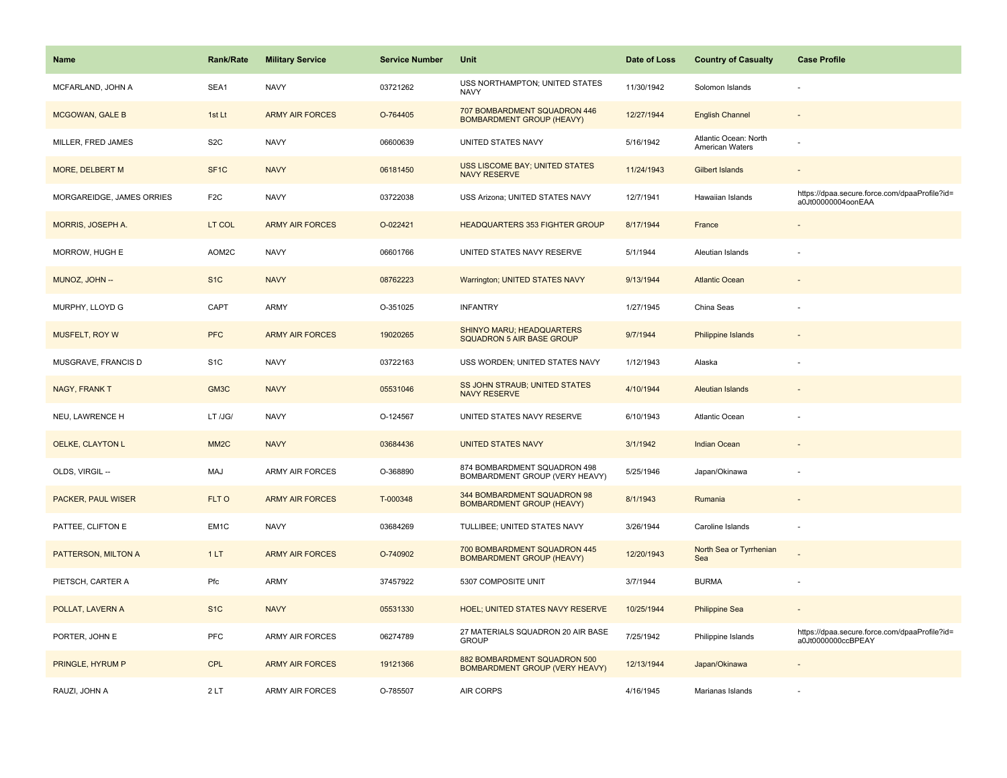| <b>Name</b>               | Rank/Rate         | <b>Military Service</b> | <b>Service Number</b> | Unit                                                                  | Date of Loss | <b>Country of Casualty</b>               | <b>Case Profile</b>                                                 |
|---------------------------|-------------------|-------------------------|-----------------------|-----------------------------------------------------------------------|--------------|------------------------------------------|---------------------------------------------------------------------|
| MCFARLAND, JOHN A         | SEA1              | <b>NAVY</b>             | 03721262              | USS NORTHAMPTON; UNITED STATES<br><b>NAVY</b>                         | 11/30/1942   | Solomon Islands                          |                                                                     |
| <b>MCGOWAN, GALE B</b>    | 1st Lt            | <b>ARMY AIR FORCES</b>  | O-764405              | 707 BOMBARDMENT SQUADRON 446<br><b>BOMBARDMENT GROUP (HEAVY)</b>      | 12/27/1944   | <b>English Channel</b>                   |                                                                     |
| MILLER, FRED JAMES        | S <sub>2</sub> C  | <b>NAVY</b>             | 06600639              | UNITED STATES NAVY                                                    | 5/16/1942    | Atlantic Ocean: North<br>American Waters |                                                                     |
| <b>MORE, DELBERT M</b>    | SF <sub>1</sub> C | <b>NAVY</b>             | 06181450              | <b>USS LISCOME BAY; UNITED STATES</b><br><b>NAVY RESERVE</b>          | 11/24/1943   | <b>Gilbert Islands</b>                   |                                                                     |
| MORGAREIDGE, JAMES ORRIES | F <sub>2</sub> C  | <b>NAVY</b>             | 03722038              | USS Arizona; UNITED STATES NAVY                                       | 12/7/1941    | Hawaiian Islands                         | https://dpaa.secure.force.com/dpaaProfile?id=<br>a0Jt00000004oonEAA |
| MORRIS, JOSEPH A.         | LT COL            | <b>ARMY AIR FORCES</b>  | O-022421              | <b>HEADQUARTERS 353 FIGHTER GROUP</b>                                 | 8/17/1944    | France                                   |                                                                     |
| MORROW, HUGH E            | AOM2C             | <b>NAVY</b>             | 06601766              | UNITED STATES NAVY RESERVE                                            | 5/1/1944     | Aleutian Islands                         |                                                                     |
| MUNOZ, JOHN --            | S <sub>1</sub> C  | <b>NAVY</b>             | 08762223              | Warrington; UNITED STATES NAVY                                        | 9/13/1944    | <b>Atlantic Ocean</b>                    |                                                                     |
| MURPHY, LLOYD G           | CAPT              | <b>ARMY</b>             | O-351025              | <b>INFANTRY</b>                                                       | 1/27/1945    | China Seas                               |                                                                     |
| MUSFELT, ROY W            | <b>PFC</b>        | <b>ARMY AIR FORCES</b>  | 19020265              | SHINYO MARU; HEADQUARTERS<br>SQUADRON 5 AIR BASE GROUP                | 9/7/1944     | <b>Philippine Islands</b>                |                                                                     |
| MUSGRAVE, FRANCIS D       | S <sub>1</sub> C  | <b>NAVY</b>             | 03722163              | USS WORDEN; UNITED STATES NAVY                                        | 1/12/1943    | Alaska                                   |                                                                     |
| NAGY, FRANK T             | GM3C              | <b>NAVY</b>             | 05531046              | SS JOHN STRAUB; UNITED STATES<br><b>NAVY RESERVE</b>                  | 4/10/1944    | <b>Aleutian Islands</b>                  | $\sim$                                                              |
| NEU, LAWRENCE H           | LT /JG/           | <b>NAVY</b>             | O-124567              | UNITED STATES NAVY RESERVE                                            | 6/10/1943    | Atlantic Ocean                           |                                                                     |
| OELKE, CLAYTON L          | MM <sub>2</sub> C | <b>NAVY</b>             | 03684436              | <b>UNITED STATES NAVY</b>                                             | 3/1/1942     | <b>Indian Ocean</b>                      |                                                                     |
| OLDS, VIRGIL --           | MAJ               | <b>ARMY AIR FORCES</b>  | O-368890              | 874 BOMBARDMENT SQUADRON 498<br>BOMBARDMENT GROUP (VERY HEAVY)        | 5/25/1946    | Japan/Okinawa                            |                                                                     |
| <b>PACKER, PAUL WISER</b> | FLT O             | <b>ARMY AIR FORCES</b>  | T-000348              | 344 BOMBARDMENT SQUADRON 98<br><b>BOMBARDMENT GROUP (HEAVY)</b>       | 8/1/1943     | Rumania                                  |                                                                     |
| PATTEE, CLIFTON E         | EM <sub>1</sub> C | <b>NAVY</b>             | 03684269              | TULLIBEE; UNITED STATES NAVY                                          | 3/26/1944    | Caroline Islands                         |                                                                     |
| PATTERSON, MILTON A       | 1LT               | <b>ARMY AIR FORCES</b>  | O-740902              | 700 BOMBARDMENT SQUADRON 445<br><b>BOMBARDMENT GROUP (HEAVY)</b>      | 12/20/1943   | North Sea or Tyrrhenian<br>Sea           |                                                                     |
| PIETSCH, CARTER A         | Pfc               | <b>ARMY</b>             | 37457922              | 5307 COMPOSITE UNIT                                                   | 3/7/1944     | <b>BURMA</b>                             |                                                                     |
| POLLAT, LAVERN A          | S <sub>1C</sub>   | <b>NAVY</b>             | 05531330              | <b>HOEL: UNITED STATES NAVY RESERVE</b>                               | 10/25/1944   | <b>Philippine Sea</b>                    |                                                                     |
| PORTER, JOHN E            | PFC               | ARMY AIR FORCES         | 06274789              | 27 MATERIALS SQUADRON 20 AIR BASE<br><b>GROUP</b>                     | 7/25/1942    | Philippine Islands                       | https://dpaa.secure.force.com/dpaaProfile?id=<br>a0Jt0000000ccBPEAY |
| PRINGLE, HYRUM P          | CPL               | <b>ARMY AIR FORCES</b>  | 19121366              | 882 BOMBARDMENT SQUADRON 500<br><b>BOMBARDMENT GROUP (VERY HEAVY)</b> | 12/13/1944   | Japan/Okinawa                            |                                                                     |
| RAUZI, JOHN A             | 2LT               | <b>ARMY AIR FORCES</b>  | O-785507              | AIR CORPS                                                             | 4/16/1945    | Marianas Islands                         |                                                                     |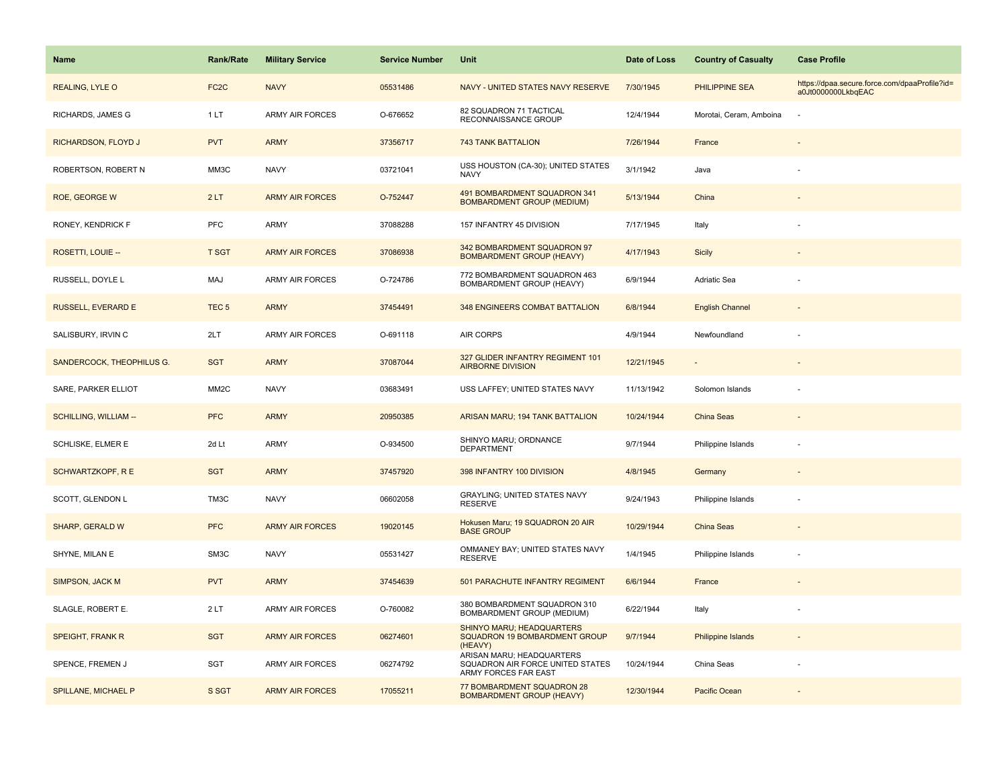| <b>Name</b>                  | Rank/Rate         | <b>Military Service</b> | <b>Service Number</b> | Unit                                                                                  | Date of Loss | <b>Country of Casualty</b> | <b>Case Profile</b>                                                 |
|------------------------------|-------------------|-------------------------|-----------------------|---------------------------------------------------------------------------------------|--------------|----------------------------|---------------------------------------------------------------------|
| REALING, LYLE O              | FC <sub>2</sub> C | <b>NAVY</b>             | 05531486              | NAVY - UNITED STATES NAVY RESERVE                                                     | 7/30/1945    | PHILIPPINE SEA             | https://dpaa.secure.force.com/dpaaProfile?id=<br>a0Jt0000000LkbqEAC |
| RICHARDS, JAMES G            | 1LT               | <b>ARMY AIR FORCES</b>  | O-676652              | 82 SQUADRON 71 TACTICAL<br>RECONNAISSANCE GROUP                                       | 12/4/1944    | Morotai, Ceram, Amboina    | ٠.                                                                  |
| RICHARDSON, FLOYD J          | <b>PVT</b>        | <b>ARMY</b>             | 37356717              | <b>743 TANK BATTALION</b>                                                             | 7/26/1944    | France                     |                                                                     |
| ROBERTSON, ROBERT N          | MM3C              | <b>NAVY</b>             | 03721041              | USS HOUSTON (CA-30); UNITED STATES<br><b>NAVY</b>                                     | 3/1/1942     | Java                       |                                                                     |
| <b>ROE, GEORGE W</b>         | 2LT               | <b>ARMY AIR FORCES</b>  | O-752447              | 491 BOMBARDMENT SQUADRON 341<br><b>BOMBARDMENT GROUP (MEDIUM)</b>                     | 5/13/1944    | China                      |                                                                     |
| RONEY, KENDRICK F            | <b>PFC</b>        | ARMY                    | 37088288              | 157 INFANTRY 45 DIVISION                                                              | 7/17/1945    | Italy                      |                                                                     |
| ROSETTI, LOUIE --            | <b>T SGT</b>      | <b>ARMY AIR FORCES</b>  | 37086938              | 342 BOMBARDMENT SQUADRON 97<br><b>BOMBARDMENT GROUP (HEAVY)</b>                       | 4/17/1943    | Sicily                     |                                                                     |
| RUSSELL, DOYLE L             | MAJ               | <b>ARMY AIR FORCES</b>  | O-724786              | 772 BOMBARDMENT SQUADRON 463<br>BOMBARDMENT GROUP (HEAVY)                             | 6/9/1944     | Adriatic Sea               |                                                                     |
| RUSSELL, EVERARD E           | TEC <sub>5</sub>  | <b>ARMY</b>             | 37454491              | <b>348 ENGINEERS COMBAT BATTALION</b>                                                 | 6/8/1944     | <b>English Channel</b>     |                                                                     |
| SALISBURY, IRVIN C           | 2LT               | <b>ARMY AIR FORCES</b>  | O-691118              | AIR CORPS                                                                             | 4/9/1944     | Newfoundland               |                                                                     |
| SANDERCOCK, THEOPHILUS G.    | <b>SGT</b>        | <b>ARMY</b>             | 37087044              | 327 GLIDER INFANTRY REGIMENT 101<br><b>AIRBORNE DIVISION</b>                          | 12/21/1945   |                            |                                                                     |
| SARE, PARKER ELLIOT          | MM <sub>2</sub> C | <b>NAVY</b>             | 03683491              | USS LAFFEY; UNITED STATES NAVY                                                        | 11/13/1942   | Solomon Islands            |                                                                     |
| <b>SCHILLING, WILLIAM --</b> | <b>PFC</b>        | <b>ARMY</b>             | 20950385              | ARISAN MARU; 194 TANK BATTALION                                                       | 10/24/1944   | <b>China Seas</b>          |                                                                     |
| SCHLISKE, ELMER E            | 2d Lt             | <b>ARMY</b>             | O-934500              | SHINYO MARU; ORDNANCE<br><b>DEPARTMENT</b>                                            | 9/7/1944     | Philippine Islands         |                                                                     |
| <b>SCHWARTZKOPF, RE</b>      | <b>SGT</b>        | <b>ARMY</b>             | 37457920              | 398 INFANTRY 100 DIVISION                                                             | 4/8/1945     | Germany                    |                                                                     |
| SCOTT, GLENDON L             | TM3C              | <b>NAVY</b>             | 06602058              | <b>GRAYLING; UNITED STATES NAVY</b><br><b>RESERVE</b>                                 | 9/24/1943    | Philippine Islands         |                                                                     |
| SHARP, GERALD W              | <b>PFC</b>        | <b>ARMY AIR FORCES</b>  | 19020145              | Hokusen Maru; 19 SQUADRON 20 AIR<br><b>BASE GROUP</b>                                 | 10/29/1944   | China Seas                 |                                                                     |
| SHYNE, MILAN E               | SM3C              | <b>NAVY</b>             | 05531427              | OMMANEY BAY; UNITED STATES NAVY<br><b>RESERVE</b>                                     | 1/4/1945     | Philippine Islands         |                                                                     |
| SIMPSON, JACK M              | <b>PVT</b>        | <b>ARMY</b>             | 37454639              | 501 PARACHUTE INFANTRY REGIMENT                                                       | 6/6/1944     | France                     |                                                                     |
| SLAGLE, ROBERT E.            | 2LT               | <b>ARMY AIR FORCES</b>  | O-760082              | 380 BOMBARDMENT SQUADRON 310<br>BOMBARDMENT GROUP (MEDIUM)                            | 6/22/1944    | Italy                      |                                                                     |
| <b>SPEIGHT, FRANK R</b>      | <b>SGT</b>        | <b>ARMY AIR FORCES</b>  | 06274601              | SHINYO MARU; HEADQUARTERS<br>SQUADRON 19 BOMBARDMENT GROUP<br>(HEAVY)                 | 9/7/1944     | <b>Philippine Islands</b>  | $\sim$                                                              |
| SPENCE, FREMEN J             | SGT               | ARMY AIR FORCES         | 06274792              | ARISAN MARU; HEADQUARTERS<br>SQUADRON AIR FORCE UNITED STATES<br>ARMY FORCES FAR EAST | 10/24/1944   | China Seas                 |                                                                     |
| SPILLANE, MICHAEL P          | S SGT             | <b>ARMY AIR FORCES</b>  | 17055211              | 77 BOMBARDMENT SQUADRON 28<br><b>BOMBARDMENT GROUP (HEAVY)</b>                        | 12/30/1944   | Pacific Ocean              |                                                                     |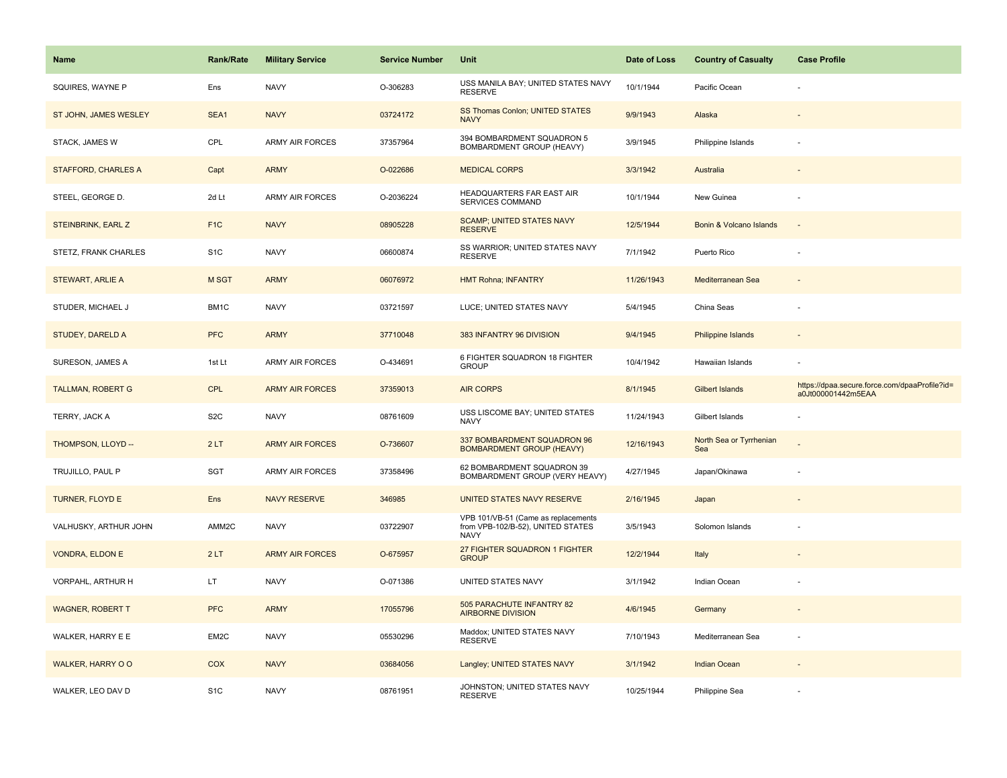| <b>Name</b>                | <b>Rank/Rate</b> | <b>Military Service</b> | <b>Service Number</b> | Unit                                                                                    | Date of Loss | <b>Country of Casualty</b>     | <b>Case Profile</b>                                                 |
|----------------------------|------------------|-------------------------|-----------------------|-----------------------------------------------------------------------------------------|--------------|--------------------------------|---------------------------------------------------------------------|
| SQUIRES, WAYNE P           | Ens              | <b>NAVY</b>             | O-306283              | USS MANILA BAY; UNITED STATES NAVY<br><b>RESERVE</b>                                    | 10/1/1944    | Pacific Ocean                  |                                                                     |
| ST JOHN, JAMES WESLEY      | SEA1             | <b>NAVY</b>             | 03724172              | SS Thomas Conlon; UNITED STATES<br><b>NAVY</b>                                          | 9/9/1943     | Alaska                         |                                                                     |
| STACK, JAMES W             | CPL              | <b>ARMY AIR FORCES</b>  | 37357964              | 394 BOMBARDMENT SQUADRON 5<br>BOMBARDMENT GROUP (HEAVY)                                 | 3/9/1945     | Philippine Islands             |                                                                     |
| <b>STAFFORD, CHARLES A</b> | Capt             | <b>ARMY</b>             | O-022686              | <b>MEDICAL CORPS</b>                                                                    | 3/3/1942     | Australia                      |                                                                     |
| STEEL, GEORGE D.           | 2d Lt            | <b>ARMY AIR FORCES</b>  | O-2036224             | HEADQUARTERS FAR EAST AIR<br><b>SERVICES COMMAND</b>                                    | 10/1/1944    | New Guinea                     |                                                                     |
| STEINBRINK, EARL Z         | F <sub>1</sub> C | <b>NAVY</b>             | 08905228              | <b>SCAMP; UNITED STATES NAVY</b><br><b>RESERVE</b>                                      | 12/5/1944    | Bonin & Volcano Islands        | $\sim$                                                              |
| STETZ, FRANK CHARLES       | S <sub>1</sub> C | <b>NAVY</b>             | 06600874              | SS WARRIOR; UNITED STATES NAVY<br><b>RESERVE</b>                                        | 7/1/1942     | Puerto Rico                    |                                                                     |
| <b>STEWART, ARLIE A</b>    | <b>M SGT</b>     | <b>ARMY</b>             | 06076972              | <b>HMT Rohna; INFANTRY</b>                                                              | 11/26/1943   | Mediterranean Sea              |                                                                     |
| STUDER, MICHAEL J          | BM1C             | <b>NAVY</b>             | 03721597              | LUCE; UNITED STATES NAVY                                                                | 5/4/1945     | China Seas                     |                                                                     |
| <b>STUDEY, DARELD A</b>    | <b>PFC</b>       | <b>ARMY</b>             | 37710048              | 383 INFANTRY 96 DIVISION                                                                | 9/4/1945     | <b>Philippine Islands</b>      |                                                                     |
| SURESON, JAMES A           | 1st Lt           | ARMY AIR FORCES         | O-434691              | 6 FIGHTER SQUADRON 18 FIGHTER<br><b>GROUP</b>                                           | 10/4/1942    | Hawaiian Islands               |                                                                     |
| <b>TALLMAN, ROBERT G</b>   | <b>CPL</b>       | <b>ARMY AIR FORCES</b>  | 37359013              | <b>AIR CORPS</b>                                                                        | 8/1/1945     | <b>Gilbert Islands</b>         | https://dpaa.secure.force.com/dpaaProfile?id=<br>a0Jt000001442m5EAA |
| TERRY, JACK A              | S <sub>2</sub> C | <b>NAVY</b>             | 08761609              | USS LISCOME BAY; UNITED STATES<br>NAVY                                                  | 11/24/1943   | Gilbert Islands                |                                                                     |
| THOMPSON, LLOYD --         | 2LT              | <b>ARMY AIR FORCES</b>  | O-736607              | 337 BOMBARDMENT SQUADRON 96<br><b>BOMBARDMENT GROUP (HEAVY)</b>                         | 12/16/1943   | North Sea or Tyrrhenian<br>Sea |                                                                     |
| TRUJILLO, PAUL P           | SGT              | <b>ARMY AIR FORCES</b>  | 37358496              | 62 BOMBARDMENT SQUADRON 39<br>BOMBARDMENT GROUP (VERY HEAVY)                            | 4/27/1945    | Japan/Okinawa                  |                                                                     |
| TURNER, FLOYD E            | Ens              | <b>NAVY RESERVE</b>     | 346985                | UNITED STATES NAVY RESERVE                                                              | 2/16/1945    | Japan                          |                                                                     |
| VALHUSKY, ARTHUR JOHN      | AMM2C            | <b>NAVY</b>             | 03722907              | VPB 101/VB-51 (Came as replacements<br>from VPB-102/B-52), UNITED STATES<br><b>NAVY</b> | 3/5/1943     | Solomon Islands                |                                                                     |
| <b>VONDRA, ELDON E</b>     | 2LT              | <b>ARMY AIR FORCES</b>  | O-675957              | 27 FIGHTER SQUADRON 1 FIGHTER<br><b>GROUP</b>                                           | 12/2/1944    | Italy                          |                                                                     |
| VORPAHL, ARTHUR H          | LT.              | <b>NAVY</b>             | O-071386              | UNITED STATES NAVY                                                                      | 3/1/1942     | Indian Ocean                   |                                                                     |
| <b>WAGNER, ROBERT T</b>    | <b>PFC</b>       | <b>ARMY</b>             | 17055796              | 505 PARACHUTE INFANTRY 82<br><b>AIRBORNE DIVISION</b>                                   | 4/6/1945     | Germany                        |                                                                     |
| WALKER, HARRY E E          | EM2C             | <b>NAVY</b>             | 05530296              | Maddox; UNITED STATES NAVY<br>RESERVE                                                   | 7/10/1943    | Mediterranean Sea              | $\sim$                                                              |
|                            |                  |                         |                       |                                                                                         |              |                                |                                                                     |
| WALKER, HARRY O O          | <b>COX</b>       | <b>NAVY</b>             | 03684056              | Langley; UNITED STATES NAVY                                                             | 3/1/1942     | <b>Indian Ocean</b>            |                                                                     |